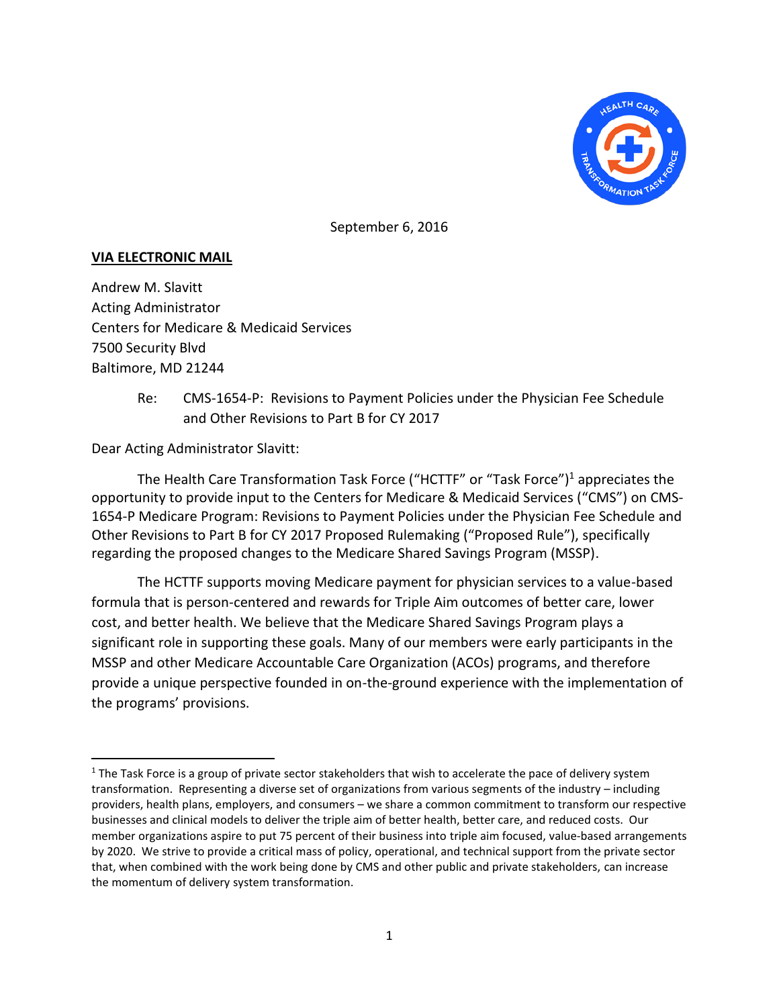

September 6, 2016

## **VIA ELECTRONIC MAIL**

Andrew M. Slavitt Acting Administrator Centers for Medicare & Medicaid Services 7500 Security Blvd Baltimore, MD 21244

> Re: CMS-1654-P: Revisions to Payment Policies under the Physician Fee Schedule and Other Revisions to Part B for CY 2017

Dear Acting Administrator Slavitt:

The Health Care Transformation Task Force ("HCTTF" or "Task Force") <sup>1</sup> appreciates the opportunity to provide input to the Centers for Medicare & Medicaid Services ("CMS") on CMS-1654-P Medicare Program: Revisions to Payment Policies under the Physician Fee Schedule and Other Revisions to Part B for CY 2017 Proposed Rulemaking ("Proposed Rule"), specifically regarding the proposed changes to the Medicare Shared Savings Program (MSSP).

The HCTTF supports moving Medicare payment for physician services to a value-based formula that is person-centered and rewards for Triple Aim outcomes of better care, lower cost, and better health. We believe that the Medicare Shared Savings Program plays a significant role in supporting these goals. Many of our members were early participants in the MSSP and other Medicare Accountable Care Organization (ACOs) programs, and therefore provide a unique perspective founded in on-the-ground experience with the implementation of the programs' provisions.

 $1$  The Task Force is a group of private sector stakeholders that wish to accelerate the pace of delivery system transformation. Representing a diverse set of organizations from various segments of the industry – including providers, health plans, employers, and consumers – we share a common commitment to transform our respective businesses and clinical models to deliver the triple aim of better health, better care, and reduced costs. Our member organizations aspire to put 75 percent of their business into triple aim focused, value-based arrangements by 2020. We strive to provide a critical mass of policy, operational, and technical support from the private sector that, when combined with the work being done by CMS and other public and private stakeholders, can increase the momentum of delivery system transformation.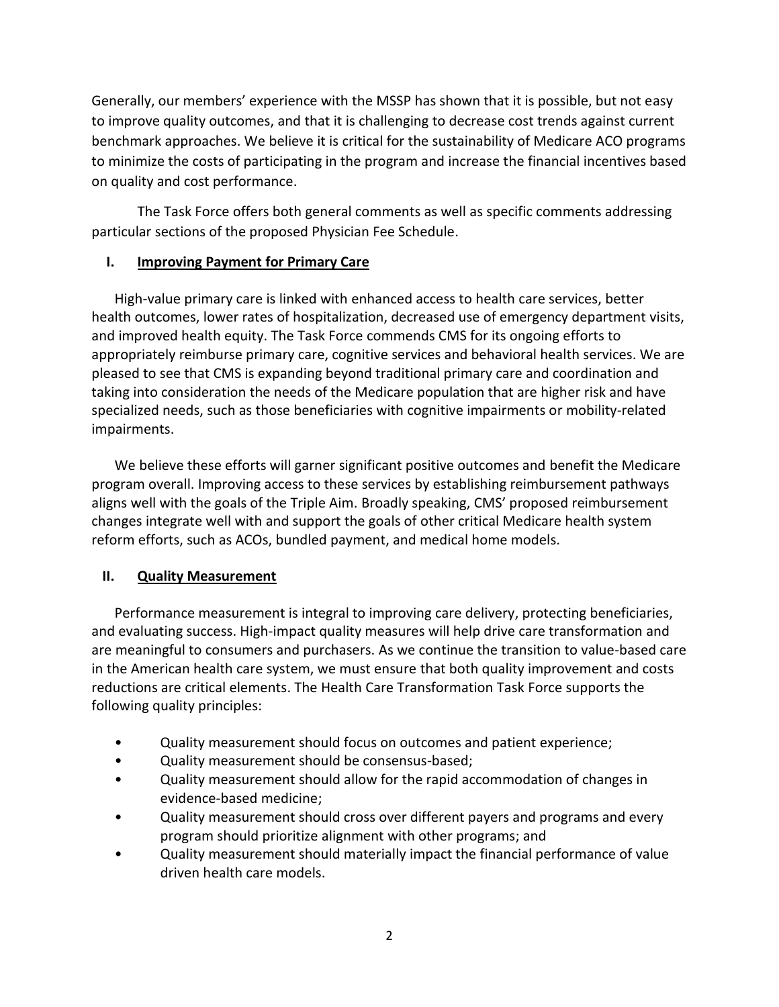Generally, our members' experience with the MSSP has shown that it is possible, but not easy to improve quality outcomes, and that it is challenging to decrease cost trends against current benchmark approaches. We believe it is critical for the sustainability of Medicare ACO programs to minimize the costs of participating in the program and increase the financial incentives based on quality and cost performance.

The Task Force offers both general comments as well as specific comments addressing particular sections of the proposed Physician Fee Schedule.

# **I. Improving Payment for Primary Care**

High-value primary care is linked with enhanced access to health care services, better health outcomes, lower rates of hospitalization, decreased use of emergency department visits, and improved health equity. The Task Force commends CMS for its ongoing efforts to appropriately reimburse primary care, cognitive services and behavioral health services. We are pleased to see that CMS is expanding beyond traditional primary care and coordination and taking into consideration the needs of the Medicare population that are higher risk and have specialized needs, such as those beneficiaries with cognitive impairments or mobility-related impairments.

We believe these efforts will garner significant positive outcomes and benefit the Medicare program overall. Improving access to these services by establishing reimbursement pathways aligns well with the goals of the Triple Aim. Broadly speaking, CMS' proposed reimbursement changes integrate well with and support the goals of other critical Medicare health system reform efforts, such as ACOs, bundled payment, and medical home models.

# **II. Quality Measurement**

Performance measurement is integral to improving care delivery, protecting beneficiaries, and evaluating success. High-impact quality measures will help drive care transformation and are meaningful to consumers and purchasers. As we continue the transition to value-based care in the American health care system, we must ensure that both quality improvement and costs reductions are critical elements. The Health Care Transformation Task Force supports the following quality principles:

- Quality measurement should focus on outcomes and patient experience;
- Quality measurement should be consensus-based;
- Quality measurement should allow for the rapid accommodation of changes in evidence-based medicine;
- Quality measurement should cross over different payers and programs and every program should prioritize alignment with other programs; and
- Quality measurement should materially impact the financial performance of value driven health care models.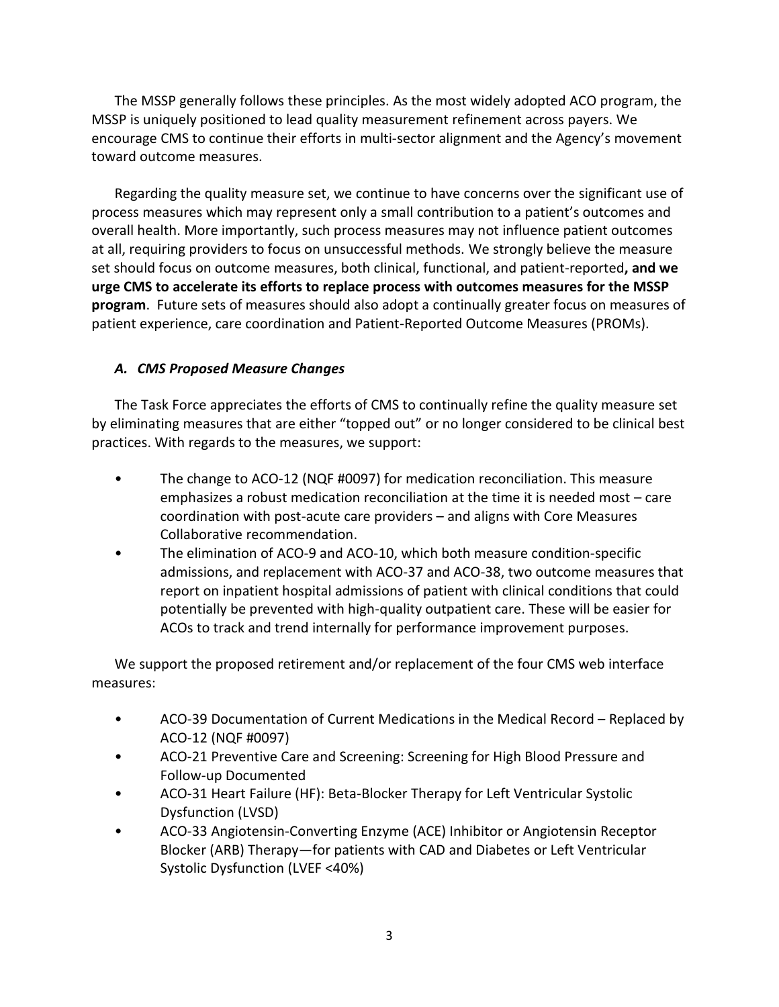The MSSP generally follows these principles. As the most widely adopted ACO program, the MSSP is uniquely positioned to lead quality measurement refinement across payers. We encourage CMS to continue their efforts in multi-sector alignment and the Agency's movement toward outcome measures.

Regarding the quality measure set, we continue to have concerns over the significant use of process measures which may represent only a small contribution to a patient's outcomes and overall health. More importantly, such process measures may not influence patient outcomes at all, requiring providers to focus on unsuccessful methods. We strongly believe the measure set should focus on outcome measures, both clinical, functional, and patient-reported**, and we urge CMS to accelerate its efforts to replace process with outcomes measures for the MSSP program**. Future sets of measures should also adopt a continually greater focus on measures of patient experience, care coordination and Patient-Reported Outcome Measures (PROMs).

## *A. CMS Proposed Measure Changes*

The Task Force appreciates the efforts of CMS to continually refine the quality measure set by eliminating measures that are either "topped out" or no longer considered to be clinical best practices. With regards to the measures, we support:

- The change to ACO-12 (NQF #0097) for medication reconciliation. This measure emphasizes a robust medication reconciliation at the time it is needed most – care coordination with post-acute care providers – and aligns with Core Measures Collaborative recommendation.
- The elimination of ACO-9 and ACO-10, which both measure condition-specific admissions, and replacement with ACO-37 and ACO-38, two outcome measures that report on inpatient hospital admissions of patient with clinical conditions that could potentially be prevented with high-quality outpatient care. These will be easier for ACOs to track and trend internally for performance improvement purposes.

We support the proposed retirement and/or replacement of the four CMS web interface measures:

- ACO-39 Documentation of Current Medications in the Medical Record Replaced by ACO-12 (NQF #0097)
- ACO-21 Preventive Care and Screening: Screening for High Blood Pressure and Follow-up Documented
- ACO-31 Heart Failure (HF): Beta-Blocker Therapy for Left Ventricular Systolic Dysfunction (LVSD)
- ACO-33 Angiotensin-Converting Enzyme (ACE) Inhibitor or Angiotensin Receptor Blocker (ARB) Therapy—for patients with CAD and Diabetes or Left Ventricular Systolic Dysfunction (LVEF <40%)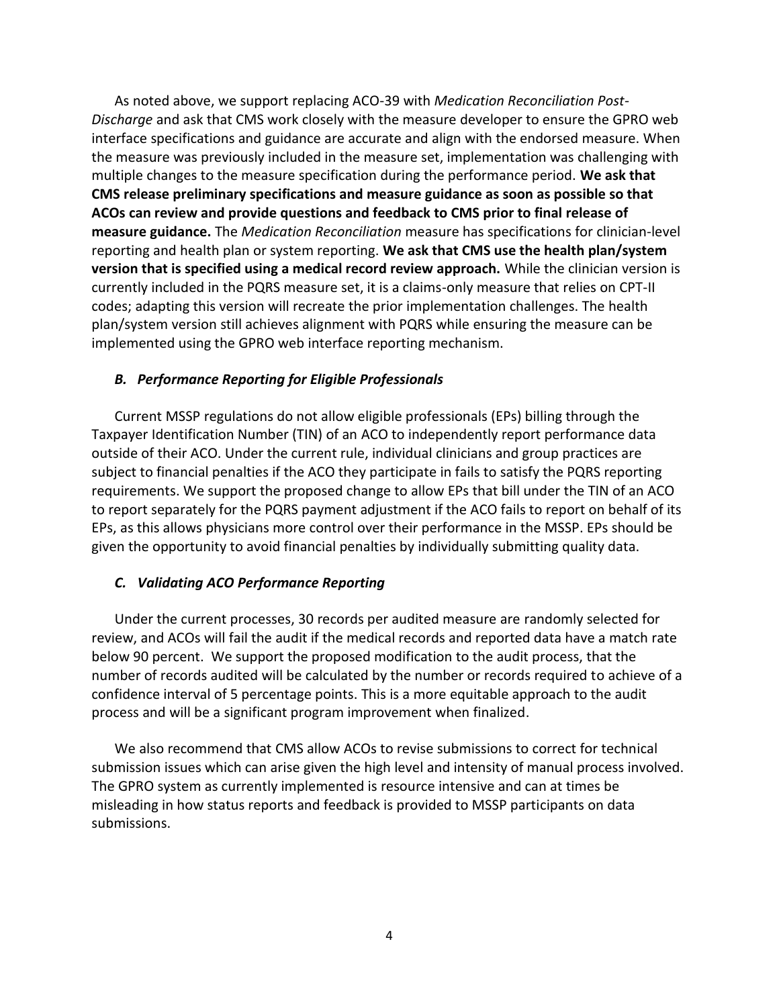As noted above, we support replacing ACO-39 with *Medication Reconciliation Post-Discharge* and ask that CMS work closely with the measure developer to ensure the GPRO web interface specifications and guidance are accurate and align with the endorsed measure. When the measure was previously included in the measure set, implementation was challenging with multiple changes to the measure specification during the performance period. **We ask that CMS release preliminary specifications and measure guidance as soon as possible so that ACOs can review and provide questions and feedback to CMS prior to final release of measure guidance.** The *Medication Reconciliation* measure has specifications for clinician-level reporting and health plan or system reporting. **We ask that CMS use the health plan/system version that is specified using a medical record review approach.** While the clinician version is currently included in the PQRS measure set, it is a claims-only measure that relies on CPT-II codes; adapting this version will recreate the prior implementation challenges. The health plan/system version still achieves alignment with PQRS while ensuring the measure can be implemented using the GPRO web interface reporting mechanism.

### *B. Performance Reporting for Eligible Professionals*

Current MSSP regulations do not allow eligible professionals (EPs) billing through the Taxpayer Identification Number (TIN) of an ACO to independently report performance data outside of their ACO. Under the current rule, individual clinicians and group practices are subject to financial penalties if the ACO they participate in fails to satisfy the PQRS reporting requirements. We support the proposed change to allow EPs that bill under the TIN of an ACO to report separately for the PQRS payment adjustment if the ACO fails to report on behalf of its EPs, as this allows physicians more control over their performance in the MSSP. EPs should be given the opportunity to avoid financial penalties by individually submitting quality data.

### *C. Validating ACO Performance Reporting*

Under the current processes, 30 records per audited measure are randomly selected for review, and ACOs will fail the audit if the medical records and reported data have a match rate below 90 percent. We support the proposed modification to the audit process, that the number of records audited will be calculated by the number or records required to achieve of a confidence interval of 5 percentage points. This is a more equitable approach to the audit process and will be a significant program improvement when finalized.

We also recommend that CMS allow ACOs to revise submissions to correct for technical submission issues which can arise given the high level and intensity of manual process involved. The GPRO system as currently implemented is resource intensive and can at times be misleading in how status reports and feedback is provided to MSSP participants on data submissions.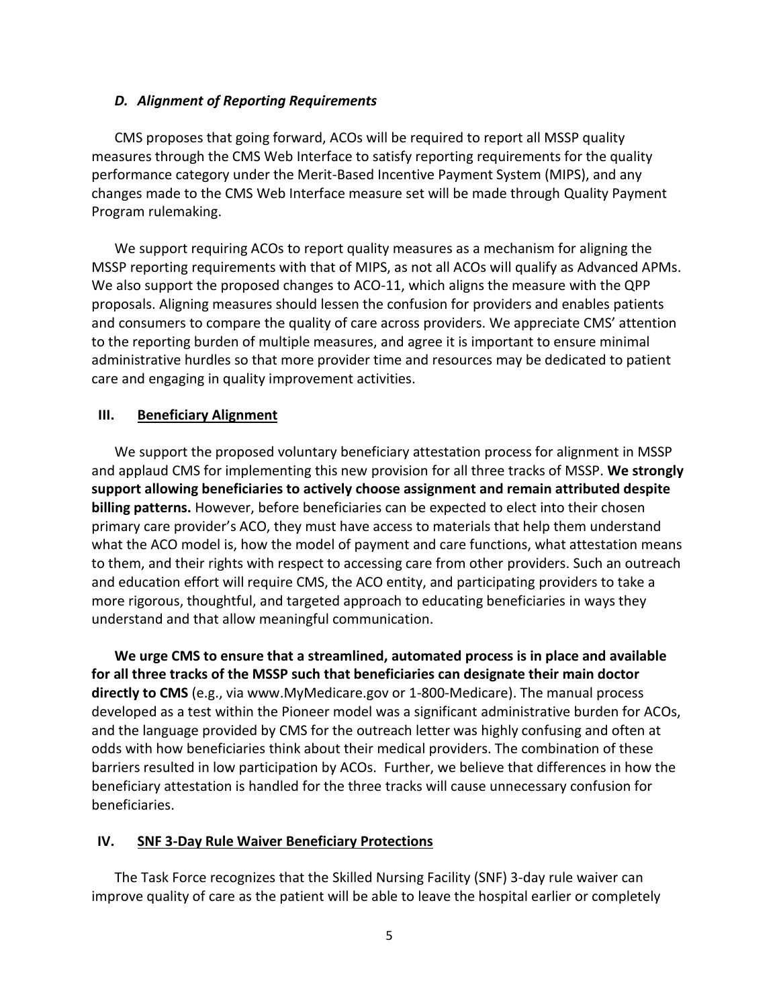### *D. Alignment of Reporting Requirements*

CMS proposes that going forward, ACOs will be required to report all MSSP quality measures through the CMS Web Interface to satisfy reporting requirements for the quality performance category under the Merit-Based Incentive Payment System (MIPS), and any changes made to the CMS Web Interface measure set will be made through Quality Payment Program rulemaking.

We support requiring ACOs to report quality measures as a mechanism for aligning the MSSP reporting requirements with that of MIPS, as not all ACOs will qualify as Advanced APMs. We also support the proposed changes to ACO-11, which aligns the measure with the QPP proposals. Aligning measures should lessen the confusion for providers and enables patients and consumers to compare the quality of care across providers. We appreciate CMS' attention to the reporting burden of multiple measures, and agree it is important to ensure minimal administrative hurdles so that more provider time and resources may be dedicated to patient care and engaging in quality improvement activities.

## **III. Beneficiary Alignment**

We support the proposed voluntary beneficiary attestation process for alignment in MSSP and applaud CMS for implementing this new provision for all three tracks of MSSP. **We strongly support allowing beneficiaries to actively choose assignment and remain attributed despite billing patterns.** However, before beneficiaries can be expected to elect into their chosen primary care provider's ACO, they must have access to materials that help them understand what the ACO model is, how the model of payment and care functions, what attestation means to them, and their rights with respect to accessing care from other providers. Such an outreach and education effort will require CMS, the ACO entity, and participating providers to take a more rigorous, thoughtful, and targeted approach to educating beneficiaries in ways they understand and that allow meaningful communication.

**We urge CMS to ensure that a streamlined, automated process is in place and available for all three tracks of the MSSP such that beneficiaries can designate their main doctor directly to CMS** (e.g., via www.MyMedicare.gov or 1-800-Medicare). The manual process developed as a test within the Pioneer model was a significant administrative burden for ACOs, and the language provided by CMS for the outreach letter was highly confusing and often at odds with how beneficiaries think about their medical providers. The combination of these barriers resulted in low participation by ACOs. Further, we believe that differences in how the beneficiary attestation is handled for the three tracks will cause unnecessary confusion for beneficiaries.

## **IV. SNF 3-Day Rule Waiver Beneficiary Protections**

The Task Force recognizes that the Skilled Nursing Facility (SNF) 3-day rule waiver can improve quality of care as the patient will be able to leave the hospital earlier or completely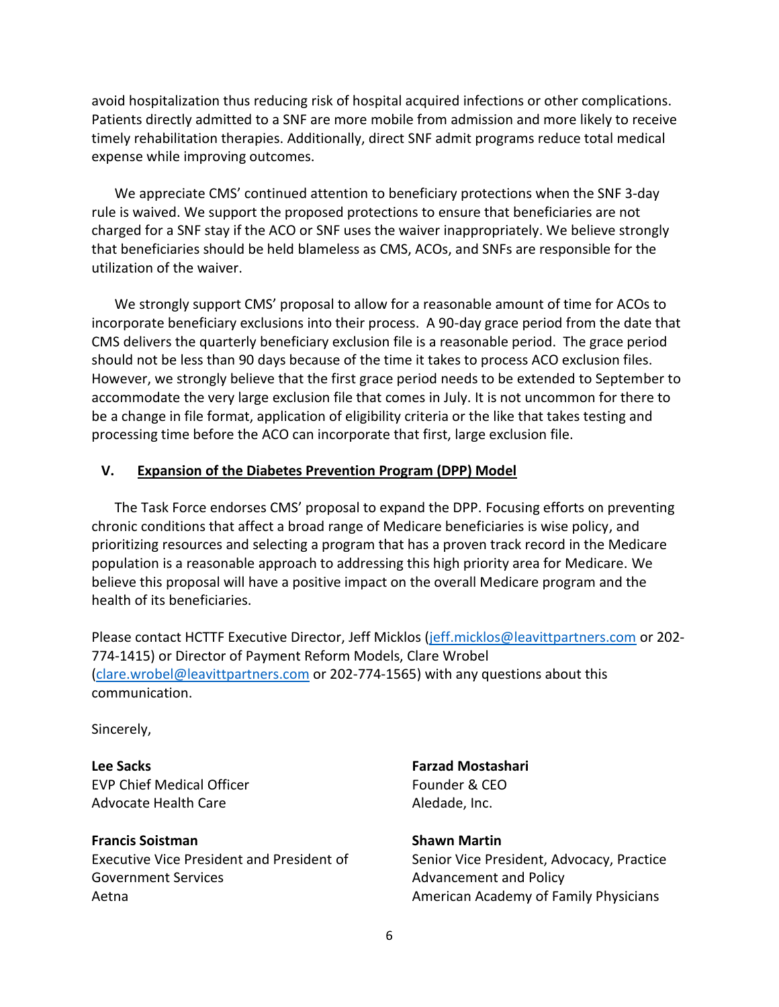avoid hospitalization thus reducing risk of hospital acquired infections or other complications. Patients directly admitted to a SNF are more mobile from admission and more likely to receive timely rehabilitation therapies. Additionally, direct SNF admit programs reduce total medical expense while improving outcomes.

We appreciate CMS' continued attention to beneficiary protections when the SNF 3-day rule is waived. We support the proposed protections to ensure that beneficiaries are not charged for a SNF stay if the ACO or SNF uses the waiver inappropriately. We believe strongly that beneficiaries should be held blameless as CMS, ACOs, and SNFs are responsible for the utilization of the waiver.

We strongly support CMS' proposal to allow for a reasonable amount of time for ACOs to incorporate beneficiary exclusions into their process. A 90-day grace period from the date that CMS delivers the quarterly beneficiary exclusion file is a reasonable period. The grace period should not be less than 90 days because of the time it takes to process ACO exclusion files. However, we strongly believe that the first grace period needs to be extended to September to accommodate the very large exclusion file that comes in July. It is not uncommon for there to be a change in file format, application of eligibility criteria or the like that takes testing and processing time before the ACO can incorporate that first, large exclusion file.

## **V. Expansion of the Diabetes Prevention Program (DPP) Model**

The Task Force endorses CMS' proposal to expand the DPP. Focusing efforts on preventing chronic conditions that affect a broad range of Medicare beneficiaries is wise policy, and prioritizing resources and selecting a program that has a proven track record in the Medicare population is a reasonable approach to addressing this high priority area for Medicare. We believe this proposal will have a positive impact on the overall Medicare program and the health of its beneficiaries.

Please contact HCTTF Executive Director, Jeff Micklos [\(jeff.micklos@leavittpartners.com](mailto:jeff.micklos@leavittpartners.com) or 202- 774-1415) or Director of Payment Reform Models, Clare Wrobel [\(clare.wrobel@leavittpartners.com](mailto:clare.wrobel@leavittpartners.com) or 202-774-1565) with any questions about this communication.

Sincerely,

**Lee Sacks** EVP Chief Medical Officer Advocate Health Care

**Francis Soistman** Executive Vice President and President of Government Services Aetna

**Farzad Mostashari** Founder & CEO Aledade, Inc.

**Shawn Martin** Senior Vice President, Advocacy, Practice Advancement and Policy American Academy of Family Physicians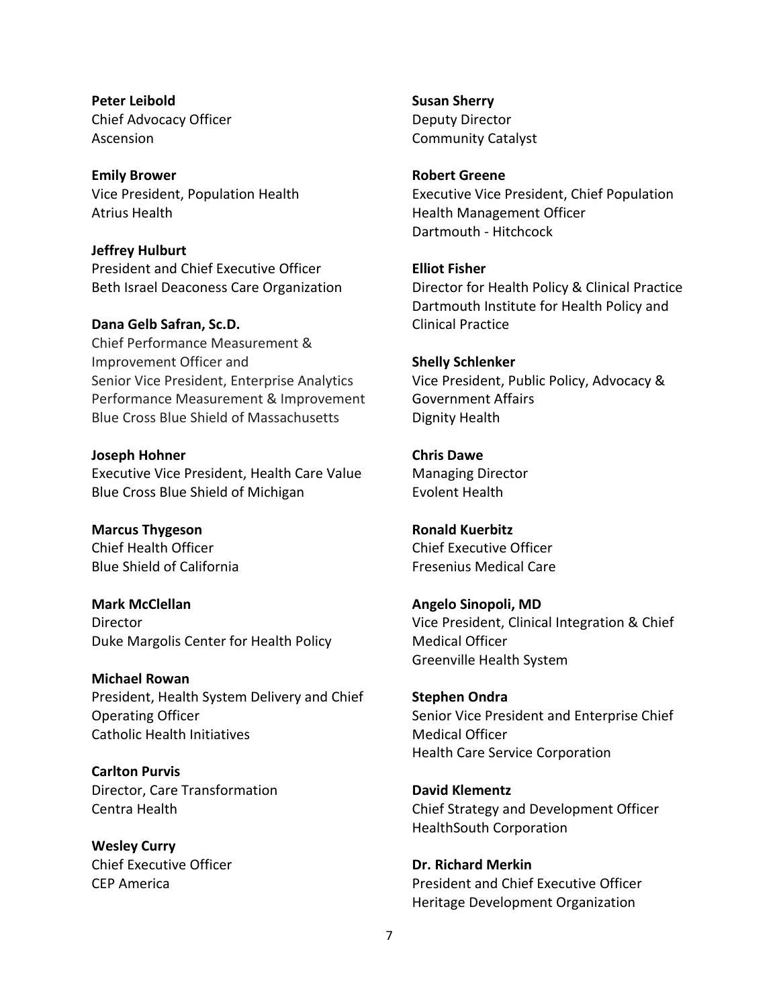**Peter Leibold** Chief Advocacy Officer Ascension

**Emily Brower** Vice President, Population Health Atrius Health

#### **Jeffrey Hulburt**

President and Chief Executive Officer Beth Israel Deaconess Care Organization

#### **Dana Gelb Safran, Sc.D.**

Chief Performance Measurement & Improvement Officer and Senior Vice President, Enterprise Analytics Performance Measurement & Improvement Blue Cross Blue Shield of Massachusetts

#### **Joseph Hohner**

Executive Vice President, Health Care Value Blue Cross Blue Shield of Michigan

**Marcus Thygeson** Chief Health Officer Blue Shield of California

**Mark McClellan Director** Duke Margolis Center for Health Policy

**Michael Rowan** President, Health System Delivery and Chief Operating Officer Catholic Health Initiatives

**Carlton Purvis** Director, Care Transformation Centra Health

**Wesley Curry** Chief Executive Officer CEP America

**Susan Sherry** Deputy Director Community Catalyst

**Robert Greene**

Executive Vice President, Chief Population Health Management Officer Dartmouth - Hitchcock

#### **Elliot Fisher**

Director for Health Policy & Clinical Practice Dartmouth Institute for Health Policy and Clinical Practice

### **Shelly Schlenker**

Vice President, Public Policy, Advocacy & Government Affairs Dignity Health

# **Chris Dawe**

Managing Director Evolent Health

**Ronald Kuerbitz** Chief Executive Officer Fresenius Medical Care

## **Angelo Sinopoli, MD** Vice President, Clinical Integration & Chief Medical Officer Greenville Health System

**Stephen Ondra** Senior Vice President and Enterprise Chief Medical Officer Health Care Service Corporation

**David Klementz** Chief Strategy and Development Officer HealthSouth Corporation

**Dr. Richard Merkin** President and Chief Executive Officer Heritage Development Organization